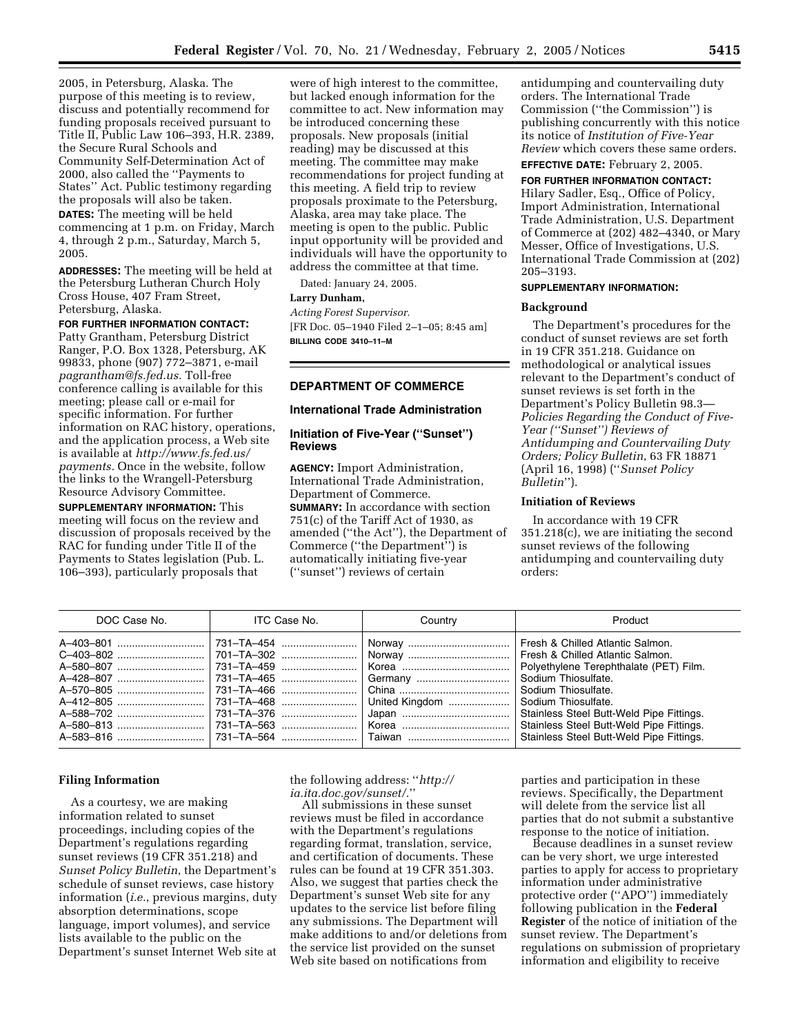2005, in Petersburg, Alaska. The purpose of this meeting is to review, discuss and potentially recommend for funding proposals received pursuant to Title II, Public Law 106–393, H.R. 2389, the Secure Rural Schools and Community Self-Determination Act of 2000, also called the ''Payments to States'' Act. Public testimony regarding the proposals will also be taken. **DATES:** The meeting will be held commencing at 1 p.m. on Friday, March 4, through 2 p.m., Saturday, March 5,

**ADDRESSES:** The meeting will be held at the Petersburg Lutheran Church Holy Cross House, 407 Fram Street, Petersburg, Alaska.

### **FOR FURTHER INFORMATION CONTACT:**

2005.

Patty Grantham, Petersburg District Ranger, P.O. Box 1328, Petersburg, AK 99833, phone (907) 772–3871, e-mail *pagrantham@fs.fed.us.* Toll-free conference calling is available for this meeting; please call or e-mail for specific information. For further information on RAC history, operations, and the application process, a Web site is available at *http://www.fs.fed.us/ payments.* Once in the website, follow the links to the Wrangell-Petersburg Resource Advisory Committee.

**SUPPLEMENTARY INFORMATION:** This meeting will focus on the review and discussion of proposals received by the RAC for funding under Title II of the Payments to States legislation (Pub. L. 106–393), particularly proposals that

were of high interest to the committee, but lacked enough information for the committee to act. New information may be introduced concerning these proposals. New proposals (initial reading) may be discussed at this meeting. The committee may make recommendations for project funding at this meeting. A field trip to review proposals proximate to the Petersburg, Alaska, area may take place. The meeting is open to the public. Public input opportunity will be provided and individuals will have the opportunity to address the committee at that time.

Dated: January 24, 2005.

#### **Larry Dunham,**

*Acting Forest Supervisor.* [FR Doc. 05–1940 Filed 2–1–05; 8:45 am] **BILLING CODE 3410–11–M**

# **DEPARTMENT OF COMMERCE**

#### **International Trade Administration**

## **Initiation of Five-Year (''Sunset'') Reviews**

**AGENCY:** Import Administration, International Trade Administration, Department of Commerce. **SUMMARY:** In accordance with section  $751(c)$  of the Tariff Act of 1930, as amended (''the Act''), the Department of Commerce (''the Department'') is automatically initiating five-year (''sunset'') reviews of certain

antidumping and countervailing duty orders. The International Trade Commission (''the Commission'') is publishing concurrently with this notice its notice of *Institution of Five-Year Review* which covers these same orders.

**EFFECTIVE DATE:** February 2, 2005.

#### **FOR FURTHER INFORMATION CONTACT:**

Hilary Sadler, Esq., Office of Policy, Import Administration, International Trade Administration, U.S. Department of Commerce at (202) 482–4340, or Mary Messer, Office of Investigations, U.S. International Trade Commission at (202) 205–3193.

# **SUPPLEMENTARY INFORMATION:**

# **Background**

The Department's procedures for the conduct of sunset reviews are set forth in 19 CFR 351.218. Guidance on methodological or analytical issues relevant to the Department's conduct of sunset reviews is set forth in the Department's Policy Bulletin 98.3— *Policies Regarding the Conduct of Five-Year (''Sunset'') Reviews of Antidumping and Countervailing Duty Orders; Policy Bulletin*, 63 FR 18871 (April 16, 1998) (''*Sunset Policy Bulletin*'').

# **Initiation of Reviews**

In accordance with 19 CFR 351.218(c), we are initiating the second sunset reviews of the following antidumping and countervailing duty orders:

| DOC Case No. | ITC Case No. | Country                                                                                                                                                                                                        | Product                                                                                                                                                                                                                                                                             |
|--------------|--------------|----------------------------------------------------------------------------------------------------------------------------------------------------------------------------------------------------------------|-------------------------------------------------------------------------------------------------------------------------------------------------------------------------------------------------------------------------------------------------------------------------------------|
|              |              | A-403-801 ……………………………   731-TA-454 ………………………   Norway ……………………………  <br>A-580-807 ……………………………   731-TA-459 ………………………   Korea ………………………………<br>A-570-805 ……………………………   731-TA-466 ………………………   China ………………………………… | Fresh & Chilled Atlantic Salmon.<br>Polyethylene Terephthalate (PET) Film.<br>Sodium Thiosulfate.<br>Sodium Thiosulfate.<br>Sodium Thiosulfate.<br>Stainless Steel Butt-Weld Pipe Fittings.<br>Stainless Steel Butt-Weld Pipe Fittings.<br>Stainless Steel Butt-Weld Pipe Fittings. |

#### **Filing Information**

As a courtesy, we are making information related to sunset proceedings, including copies of the Department's regulations regarding sunset reviews (19 CFR 351.218) and *Sunset Policy Bulletin*, the Department's schedule of sunset reviews, case history information (*i.e.*, previous margins, duty absorption determinations, scope language, import volumes), and service lists available to the public on the Department's sunset Internet Web site at

the following address: ''*http:// ia.ita.doc.gov/sunset/.*''

All submissions in these sunset reviews must be filed in accordance with the Department's regulations regarding format, translation, service, and certification of documents. These rules can be found at 19 CFR 351.303. Also, we suggest that parties check the Department's sunset Web site for any updates to the service list before filing any submissions. The Department will make additions to and/or deletions from the service list provided on the sunset Web site based on notifications from

parties and participation in these reviews. Specifically, the Department will delete from the service list all parties that do not submit a substantive response to the notice of initiation.

Because deadlines in a sunset review can be very short, we urge interested parties to apply for access to proprietary information under administrative protective order (''APO'') immediately following publication in the **Federal Register** of the notice of initiation of the sunset review. The Department's regulations on submission of proprietary information and eligibility to receive